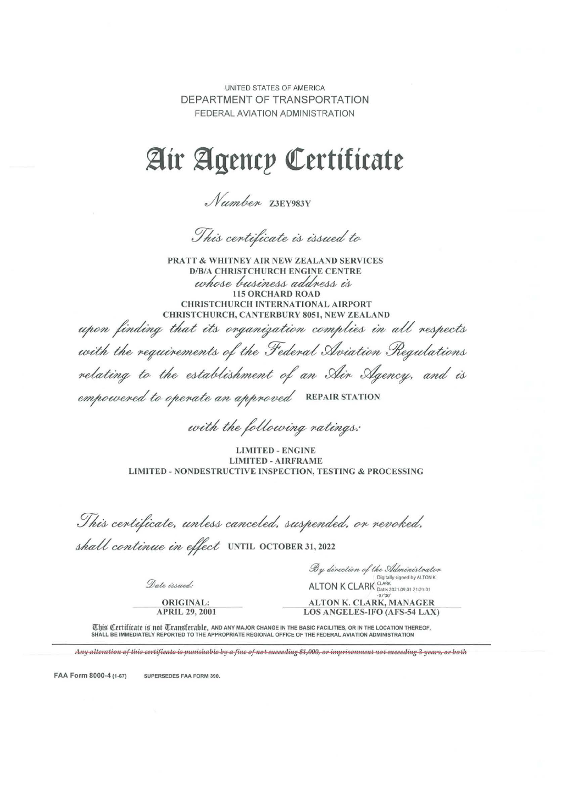UNITED STATES OF AMERICA DEPARTMENT OF TRANSPORTATION FEDERAL AVIATION ADMINISTRATION

# ~tr ~gencp **cterttf tcate**

Number Z3EY983Y

This centificate is issued to

PRATT & WHITNEY AIR NEW ZEALAND SERVICES D/B/A CHRISTCHURCH ENGINE CENTRE whose business address is CHRISTCHURCH INTERNATIONAL AIRPORT CHRISTCHURCH, CANTERBURY 8051, NEW ZEALAND

upon finding that its organization complies in all respects with the requirements of the Federal Aviation Regulations relating to the establishment of an Ain Agency, and is empowered to operate an approved REPAIR STATION

with the following ratings:

LIMITED - ENGINE LIMITED - AIRFRAME LIMITED - NONDESTRUCTIVE INSPECTION, TESTING & PROCESSING

This centificate, unless canceled, suspended, on revoked,

shall continue in effect UNTIL OCTOBER 31, 2022

By direction of the Administrator Digitally signed by ALTON K

Date issued:

ORIGINAL: APRIL 29, 2001

ALTON K CLARK **Date: 2021.09.01 21:21:01** -07'00' ALTON K. CLARK, MANAGER LOS ANGELES-IFO (AFS-54 LAX)

This Certificate is not Transferable, AND ANY MAJOR CHANGE IN THE BASIC FACILITIES, OR IN THE LOCATION THEREOF, SHALL BE IMMEDIATELY REPORTED TO THE APPROPRIATE REGIONAL OFFICE OF THE FEDERAL AVIATION ADMINISTRATION

Any alteration of this certificate is punishable by a fine of not exceeding \$1,000, or imprisonment not exceeding 3 years, or both

FAA Form 8000-4 (1-67) SUPERSEDES FAA FORM 390.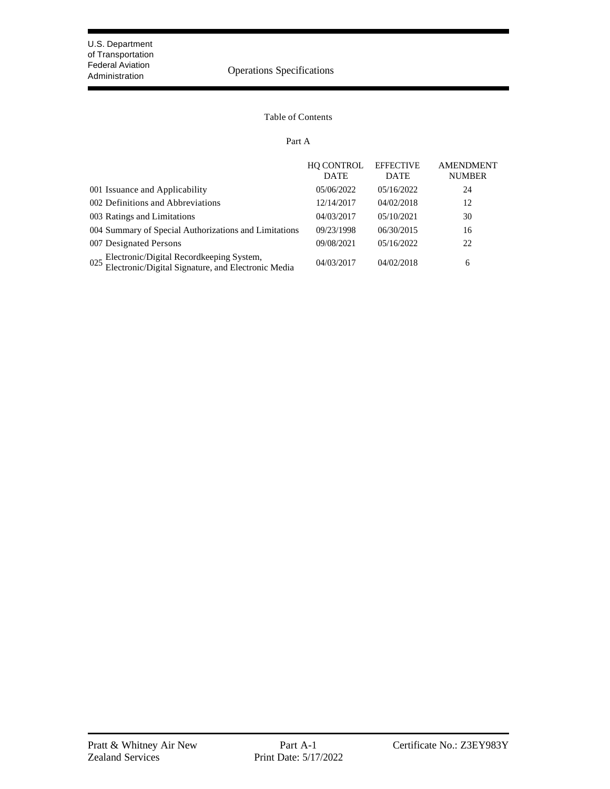### Federal Aviation<br>Administration **Operation** Operations Specifications

#### Table of Contents

#### Part A

|                                                                                                       | <b>HO CONTROL</b><br><b>DATE</b> | <b>EFFECTIVE</b><br><b>DATE</b> | <b>AMENDMENT</b><br><b>NUMBER</b> |
|-------------------------------------------------------------------------------------------------------|----------------------------------|---------------------------------|-----------------------------------|
| 001 Issuance and Applicability                                                                        | 05/06/2022                       | 05/16/2022                      | 24                                |
| 002 Definitions and Abbreviations                                                                     | 12/14/2017                       | 04/02/2018                      | 12                                |
| 003 Ratings and Limitations                                                                           | 04/03/2017                       | 05/10/2021                      | 30                                |
| 004 Summary of Special Authorizations and Limitations                                                 | 09/23/1998                       | 06/30/2015                      | 16                                |
| 007 Designated Persons                                                                                | 09/08/2021                       | 05/16/2022                      | 22                                |
| Electronic/Digital Recordkeeping System,<br>Electronic/Digital Signature, and Electronic Media<br>025 | 04/03/2017                       | 04/02/2018                      | 6                                 |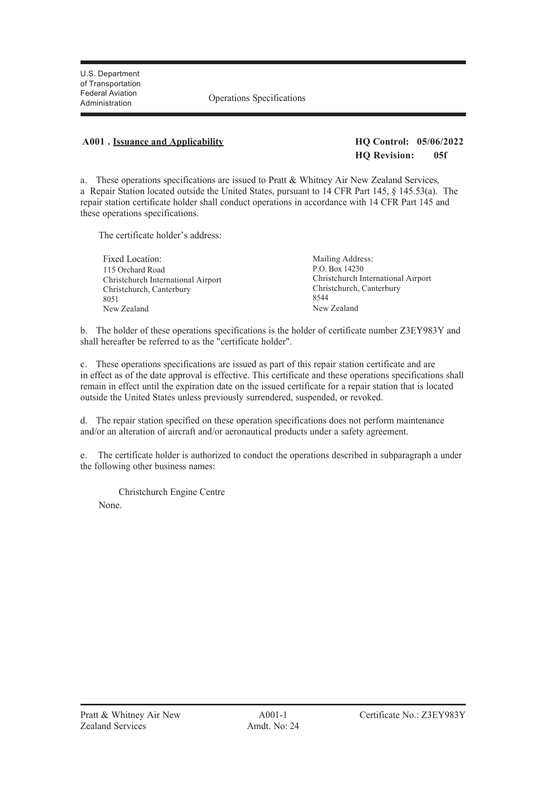Administration Operations Specifications

#### **A001 . Issuance and Applicability HQ Control: 05/06/2022**

### **HQ Revision: 05f**

a. These operations specifications are issued to Pratt & Whitney Air New Zealand Services, a Repair Station located outside the United States, pursuant to 14 CFR Part 145, § 145.53(a). The repair station certificate holder shall conduct operations in accordance with 14 CFR Part 145 and these operations specifications.

The certificate holder's address:

| Mailing Address:                   |
|------------------------------------|
| P.O. Box 14230                     |
| Christchurch International Airport |
| Christchurch, Canterbury           |
| 8544                               |
| New Zealand                        |
|                                    |

b. The holder of these operations specifications is the holder of certificate number Z3EY983Y and shall hereafter be referred to as the "certificate holder".

c. These operations specifications are issued as part of this repair station certificate and are in effect as of the date approval is effective. This certificate and these operations specifications shall remain in effect until the expiration date on the issued certificate for a repair station that is located outside the United States unless previously surrendered, suspended, or revoked.

d. The repair station specified on these operation specifications does not perform maintenance and/or an alteration of aircraft and/or aeronautical products under a safety agreement.

e. The certificate holder is authorized to conduct the operations described in subparagraph a under the following other business names:

Christchurch Engine Centre

None.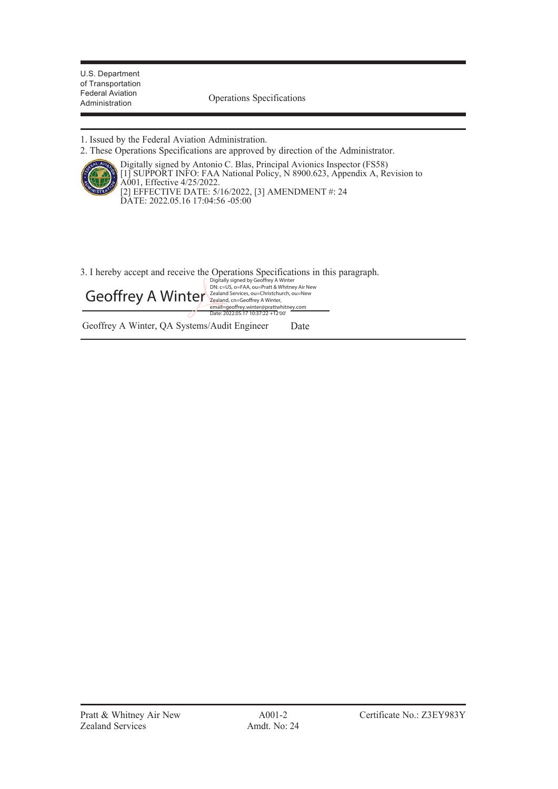Federal Aviation<br>Administration Coperations Specifications

1. Issued by the Federal Aviation Administration.

2. These Operations Specifications are approved by direction of the Administrator.



Digitally signed by Antonio C. Blas, Principal Avionics Inspector (FS58) [1] SUPPORT INFO: FAA National Policy, N 8900.623, Appendix A, Revision to A001, Effective 4/25/2022. [2] EFFECTIVE DATE: 5/16/2022, [3] AMENDMENT #: 24 DATE: 2022.05.16 17:04:56 -05:00

3. I hereby accept and receive the Operations Specifications in this paragraph.

Geoffrey A Winter Zealand Services, ou=Christchurch, ou=New Digitally signed by Geoffrey A Winter DN: c=US, o=FAA, ou=Pratt & Whitney Air New

email=geoffrey.winter@prattwhitney.com Date: 2022.05.17 10:37:22 +12'00'

Geoffrey A Winter, QA Systems/Audit Engineer Date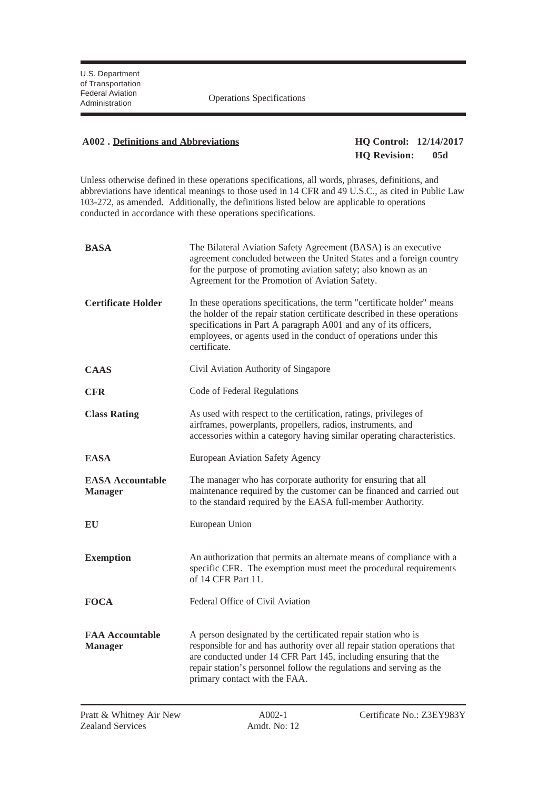Federal Aviation<br>Administration **Operations** Specifications

#### **A002 . Definitions and Abbreviations HQ Control: 12/14/2017**

### **HQ Revision: 05d**

Unless otherwise defined in these operations specifications, all words, phrases, definitions, and abbreviations have identical meanings to those used in 14 CFR and 49 U.S.C., as cited in Public Law 103-272, as amended. Additionally, the definitions listed below are applicable to operations conducted in accordance with these operations specifications.

| <b>BASA</b>                               | The Bilateral Aviation Safety Agreement (BASA) is an executive<br>agreement concluded between the United States and a foreign country<br>for the purpose of promoting aviation safety; also known as an<br>Agreement for the Promotion of Aviation Safety.                                                              |  |
|-------------------------------------------|-------------------------------------------------------------------------------------------------------------------------------------------------------------------------------------------------------------------------------------------------------------------------------------------------------------------------|--|
| <b>Certificate Holder</b>                 | In these operations specifications, the term "certificate holder" means<br>the holder of the repair station certificate described in these operations<br>specifications in Part A paragraph A001 and any of its officers,<br>employees, or agents used in the conduct of operations under this<br>certificate.          |  |
| <b>CAAS</b>                               | Civil Aviation Authority of Singapore                                                                                                                                                                                                                                                                                   |  |
| <b>CFR</b>                                | Code of Federal Regulations                                                                                                                                                                                                                                                                                             |  |
| <b>Class Rating</b>                       | As used with respect to the certification, ratings, privileges of<br>airframes, powerplants, propellers, radios, instruments, and<br>accessories within a category having similar operating characteristics.                                                                                                            |  |
| <b>EASA</b>                               | European Aviation Safety Agency                                                                                                                                                                                                                                                                                         |  |
| <b>EASA Accountable</b><br><b>Manager</b> | The manager who has corporate authority for ensuring that all<br>maintenance required by the customer can be financed and carried out<br>to the standard required by the EASA full-member Authority.                                                                                                                    |  |
| EU                                        | European Union                                                                                                                                                                                                                                                                                                          |  |
| <b>Exemption</b>                          | An authorization that permits an alternate means of compliance with a<br>specific CFR. The exemption must meet the procedural requirements<br>of 14 CFR Part 11.                                                                                                                                                        |  |
| <b>FOCA</b>                               | Federal Office of Civil Aviation                                                                                                                                                                                                                                                                                        |  |
| <b>FAA Accountable</b><br><b>Manager</b>  | A person designated by the certificated repair station who is<br>responsible for and has authority over all repair station operations that<br>are conducted under 14 CFR Part 145, including ensuring that the<br>repair station's personnel follow the regulations and serving as the<br>primary contact with the FAA. |  |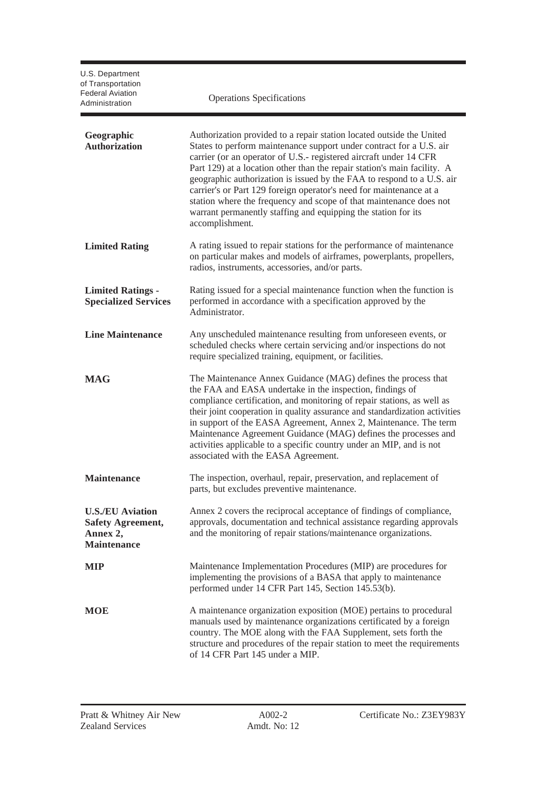| U.S. Department<br>of Transportation<br><b>Federal Aviation</b><br>Administration     | <b>Operations Specifications</b>                                                                                                                                                                                                                                                                                                                                                                                                                                                                                                                                                                         |
|---------------------------------------------------------------------------------------|----------------------------------------------------------------------------------------------------------------------------------------------------------------------------------------------------------------------------------------------------------------------------------------------------------------------------------------------------------------------------------------------------------------------------------------------------------------------------------------------------------------------------------------------------------------------------------------------------------|
| Geographic<br><b>Authorization</b>                                                    | Authorization provided to a repair station located outside the United<br>States to perform maintenance support under contract for a U.S. air<br>carrier (or an operator of U.S.- registered aircraft under 14 CFR<br>Part 129) at a location other than the repair station's main facility. A<br>geographic authorization is issued by the FAA to respond to a U.S. air<br>carrier's or Part 129 foreign operator's need for maintenance at a<br>station where the frequency and scope of that maintenance does not<br>warrant permanently staffing and equipping the station for its<br>accomplishment. |
| <b>Limited Rating</b>                                                                 | A rating issued to repair stations for the performance of maintenance<br>on particular makes and models of airframes, powerplants, propellers,<br>radios, instruments, accessories, and/or parts.                                                                                                                                                                                                                                                                                                                                                                                                        |
| <b>Limited Ratings -</b><br><b>Specialized Services</b>                               | Rating issued for a special maintenance function when the function is<br>performed in accordance with a specification approved by the<br>Administrator.                                                                                                                                                                                                                                                                                                                                                                                                                                                  |
| <b>Line Maintenance</b>                                                               | Any unscheduled maintenance resulting from unforeseen events, or<br>scheduled checks where certain servicing and/or inspections do not<br>require specialized training, equipment, or facilities.                                                                                                                                                                                                                                                                                                                                                                                                        |
| <b>MAG</b>                                                                            | The Maintenance Annex Guidance (MAG) defines the process that<br>the FAA and EASA undertake in the inspection, findings of<br>compliance certification, and monitoring of repair stations, as well as<br>their joint cooperation in quality assurance and standardization activities<br>in support of the EASA Agreement, Annex 2, Maintenance. The term<br>Maintenance Agreement Guidance (MAG) defines the processes and<br>activities applicable to a specific country under an MIP, and is not<br>associated with the EASA Agreement.                                                                |
| <b>Maintenance</b>                                                                    | The inspection, overhaul, repair, preservation, and replacement of<br>parts, but excludes preventive maintenance.                                                                                                                                                                                                                                                                                                                                                                                                                                                                                        |
| <b>U.S./EU Aviation</b><br><b>Safety Agreement,</b><br>Annex 2,<br><b>Maintenance</b> | Annex 2 covers the reciprocal acceptance of findings of compliance,<br>approvals, documentation and technical assistance regarding approvals<br>and the monitoring of repair stations/maintenance organizations.                                                                                                                                                                                                                                                                                                                                                                                         |
| <b>MIP</b>                                                                            | Maintenance Implementation Procedures (MIP) are procedures for<br>implementing the provisions of a BASA that apply to maintenance<br>performed under 14 CFR Part 145, Section 145.53(b).                                                                                                                                                                                                                                                                                                                                                                                                                 |
| <b>MOE</b>                                                                            | A maintenance organization exposition (MOE) pertains to procedural<br>manuals used by maintenance organizations certificated by a foreign<br>country. The MOE along with the FAA Supplement, sets forth the<br>structure and procedures of the repair station to meet the requirements<br>of 14 CFR Part 145 under a MIP.                                                                                                                                                                                                                                                                                |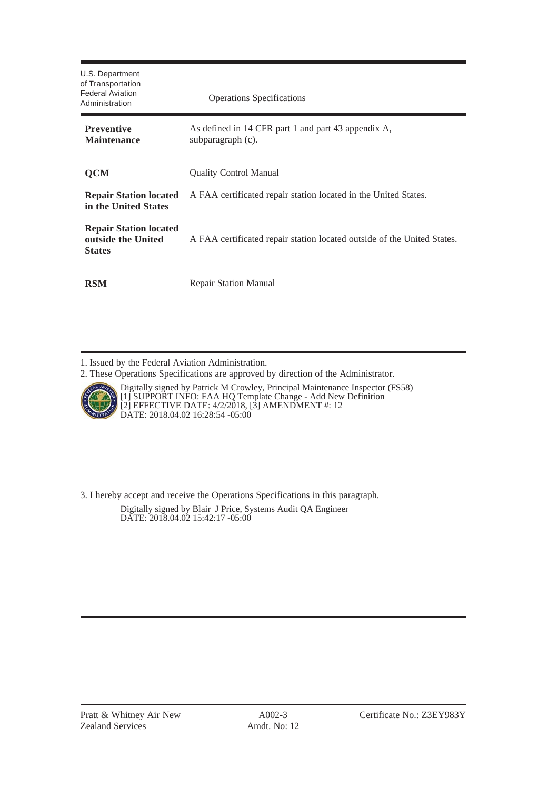| U.S. Department<br>of Transportation<br>Federal Aviation<br>Administration | <b>Operations Specifications</b>                                         |
|----------------------------------------------------------------------------|--------------------------------------------------------------------------|
| <b>Preventive</b><br><b>Maintenance</b>                                    | As defined in 14 CFR part 1 and part 43 appendix A,<br>subparagraph (c). |
| <b>QCM</b>                                                                 | <b>Quality Control Manual</b>                                            |
| <b>Repair Station located</b><br>in the United States                      | A FAA certificated repair station located in the United States.          |
| <b>Repair Station located</b><br>outside the United<br><b>States</b>       | A FAA certificated repair station located outside of the United States.  |
| <b>RSM</b>                                                                 | <b>Repair Station Manual</b>                                             |

1. Issued by the Federal Aviation Administration.

2. These Operations Specifications are approved by direction of the Administrator.



Digitally signed by Patrick M Crowley, Principal Maintenance Inspector (FS58) [1] SUPPORT INFO: FAA HQ Template Change - Add New Definition [2] EFFECTIVE DATE: 4/2/2018, [3] AMENDMENT #: 12 DATE: 2018.04.02 16:28:54 -05:00

3. I hereby accept and receive the Operations Specifications in this paragraph. Digitally signed by Blair J Price, Systems Audit QA Engineer DATE: 2018.04.02 15:42:17 -05:00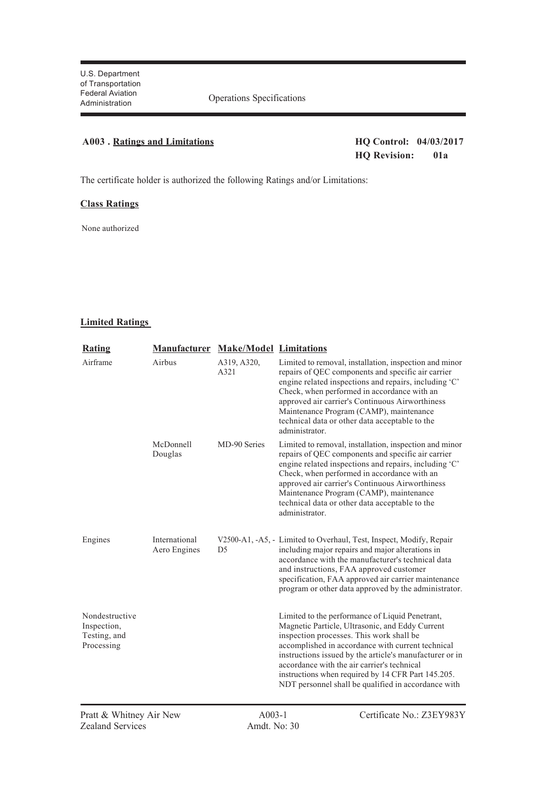#### **A003 . Ratings and Limitations HQ Control: 04/03/2017**

### **HQ Revision: 01a**

The certificate holder is authorized the following Ratings and/or Limitations:

#### **Class Ratings**

None authorized

#### **Limited Ratings**

| <b>Rating</b>                                               | <b>Manufacturer Make/Model Limitations</b> |                     |                                                                                                                                                                                                                                                                                                                                                                                                                            |
|-------------------------------------------------------------|--------------------------------------------|---------------------|----------------------------------------------------------------------------------------------------------------------------------------------------------------------------------------------------------------------------------------------------------------------------------------------------------------------------------------------------------------------------------------------------------------------------|
| Airframe                                                    | Airbus                                     | A319, A320,<br>A321 | Limited to removal, installation, inspection and minor<br>repairs of QEC components and specific air carrier<br>engine related inspections and repairs, including 'C'<br>Check, when performed in accordance with an<br>approved air carrier's Continuous Airworthiness<br>Maintenance Program (CAMP), maintenance<br>technical data or other data acceptable to the<br>administrator.                                     |
|                                                             | McDonnell<br>Douglas                       | MD-90 Series        | Limited to removal, installation, inspection and minor<br>repairs of QEC components and specific air carrier<br>engine related inspections and repairs, including 'C'<br>Check, when performed in accordance with an<br>approved air carrier's Continuous Airworthiness<br>Maintenance Program (CAMP), maintenance<br>technical data or other data acceptable to the<br>administrator.                                     |
| Engines                                                     | International<br>Aero Engines              | D <sub>5</sub>      | V2500-A1, -A5, - Limited to Overhaul, Test, Inspect, Modify, Repair<br>including major repairs and major alterations in<br>accordance with the manufacturer's technical data<br>and instructions, FAA approved customer<br>specification, FAA approved air carrier maintenance<br>program or other data approved by the administrator.                                                                                     |
| Nondestructive<br>Inspection,<br>Testing, and<br>Processing |                                            |                     | Limited to the performance of Liquid Penetrant,<br>Magnetic Particle, Ultrasonic, and Eddy Current<br>inspection processes. This work shall be<br>accomplished in accordance with current technical<br>instructions issued by the article's manufacturer or in<br>accordance with the air carrier's technical<br>instructions when required by 14 CFR Part 145.205.<br>NDT personnel shall be qualified in accordance with |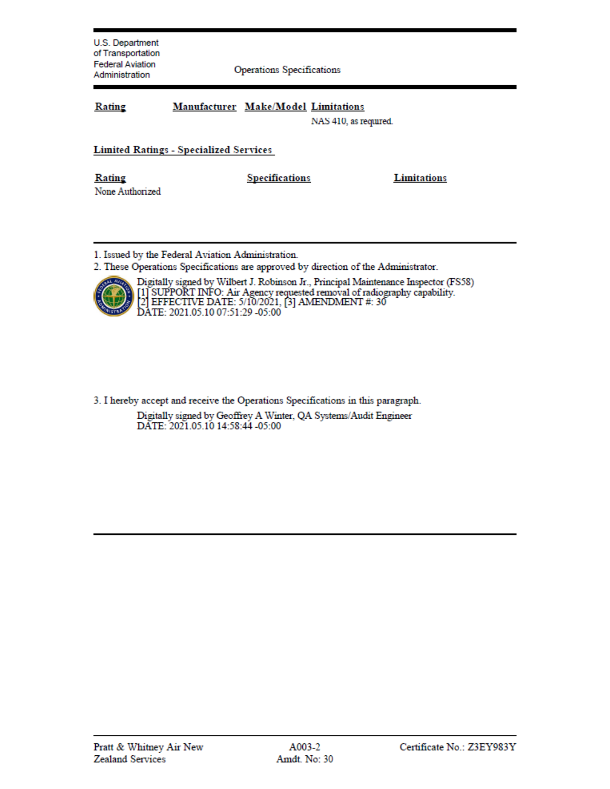**Operations Specifications** 

| Rating | Manufacturer Make/Model Limitations |  |
|--------|-------------------------------------|--|
|--------|-------------------------------------|--|

NAS 410, as required.

#### **Limited Ratings - Specialized Services**

Rating None Authorized **Specifications** 

**Limitations** 

1. Issued by the Federal Aviation Administration.

2. These Operations Specifications are approved by direction of the Administrator.



Digitally signed by Wilbert J. Robinson Jr., Principal Maintenance Inspector (FS58) [1] SUPPORT INFO: Air Agency requested removal of radiography capability.<br>[2] EFFECTIVE DATE: 5/10/2021, [3] AMENDMENT #: 30 DATE: 2021.05.10 07:51:29 -05:00

3. I hereby accept and receive the Operations Specifications in this paragraph.

Digitally signed by Geoffrey A Winter, QA Systems/Audit Engineer DATE: 2021.05.10 14:58:44 -05:00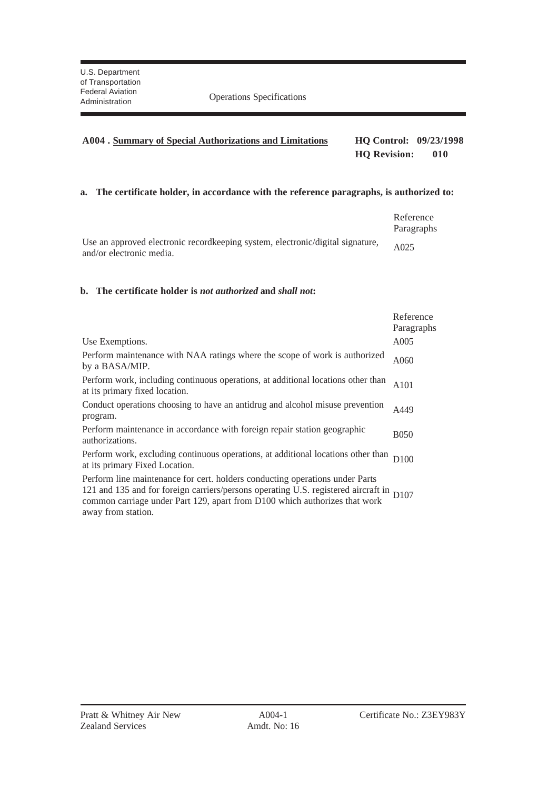#### **A004 . Summary of Special Authorizations and Limitations HQ Control: 09/23/1998 HQ Revision: 010**

#### **a. The certificate holder, in accordance with the reference paragraphs, is authorized to:**

|                                                                                 | Reference<br>Paragraphs |
|---------------------------------------------------------------------------------|-------------------------|
| Use an approved electronic record keeping system, electronic/digital signature, | A025                    |
| and/or electronic media.                                                        |                         |

#### **b. The certificate holder is** *not authorized* **and** *shall not***:**

|                                                                                                                                                                                                                                                       | Reference<br>Paragraphs |
|-------------------------------------------------------------------------------------------------------------------------------------------------------------------------------------------------------------------------------------------------------|-------------------------|
| Use Exemptions.                                                                                                                                                                                                                                       | A005                    |
| Perform maintenance with NAA ratings where the scope of work is authorized<br>by a BASA/MIP.                                                                                                                                                          | A060                    |
| Perform work, including continuous operations, at additional locations other than<br>at its primary fixed location.                                                                                                                                   | A101                    |
| Conduct operations choosing to have an antidrug and alcohol misuse prevention<br>program.                                                                                                                                                             | A449                    |
| Perform maintenance in accordance with foreign repair station geographic<br>authorizations.                                                                                                                                                           | <b>B050</b>             |
| Perform work, excluding continuous operations, at additional locations other than<br>at its primary Fixed Location.                                                                                                                                   | D <sub>100</sub>        |
| Perform line maintenance for cert. holders conducting operations under Parts<br>121 and 135 and for foreign carriers/persons operating U.S. registered aircraft in D107<br>common carriage under Part 129, apart from D100 which authorizes that work |                         |

away from station.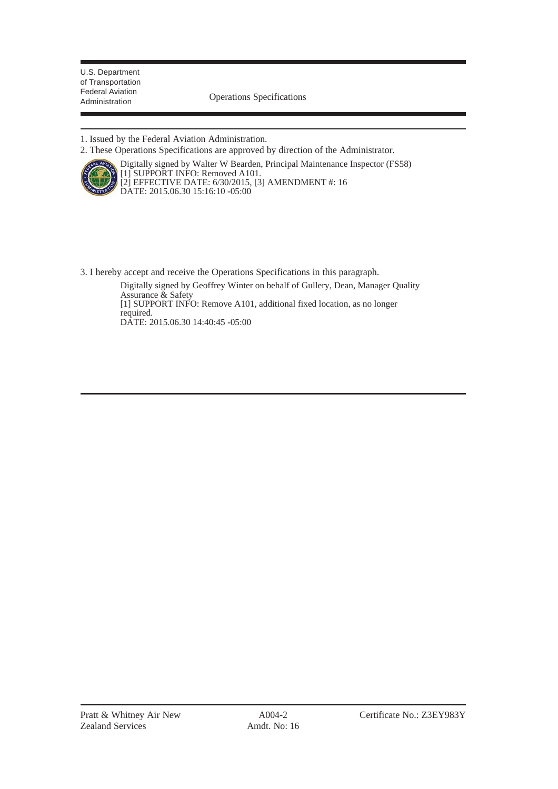Administration Operations Specifications

1. Issued by the Federal Aviation Administration.

2. These Operations Specifications are approved by direction of the Administrator.



Digitally signed by Walter W Bearden, Principal Maintenance Inspector (FS58) [1] SUPPORT INFO: Removed A101. [2] EFFECTIVE DATE: 6/30/2015, [3] AMENDMENT #: 16 DATE: 2015.06.30 15:16:10 -05:00

3. I hereby accept and receive the Operations Specifications in this paragraph.

Digitally signed by Geoffrey Winter on behalf of Gullery, Dean, Manager Quality Assurance & Safety [1] SUPPORT INFO: Remove A101, additional fixed location, as no longer required. DATE: 2015.06.30 14:40:45 -05:00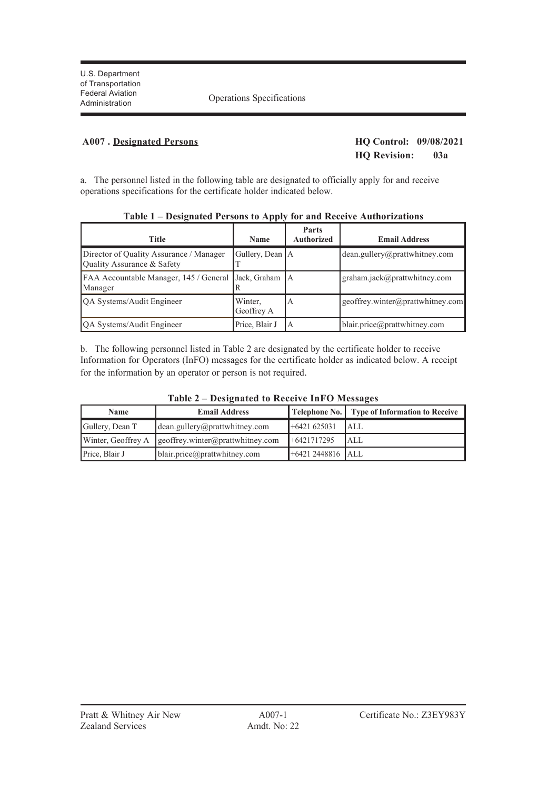Federal Aviation<br>Administration Coperations Specifications

#### **A007 . Designated Persons HQ Control: 09/08/2021**

## **HQ Revision: 03a**

a. The personnel listed in the following table are designated to officially apply for and receive operations specifications for the certificate holder indicated below.

| $     -$                                                              |                       |                                   |                                  |
|-----------------------------------------------------------------------|-----------------------|-----------------------------------|----------------------------------|
| <b>Title</b>                                                          | <b>Name</b>           | <b>Parts</b><br><b>Authorized</b> | <b>Email Address</b>             |
| Director of Quality Assurance / Manager<br>Ouality Assurance & Safety | Gullery, Dean A       |                                   | dean.gullery@prattwhitney.com    |
| FAA Accountable Manager, 145 / General<br>Manager                     | Jack, Graham A        |                                   | graham.jack@prattwhitney.com     |
| <b>QA Systems/Audit Engineer</b>                                      | Winter,<br>Geoffrey A | А                                 | geoffrey.winter@prattwhitney.com |
| QA Systems/Audit Engineer                                             | Price, Blair J        | ΙA                                | blair.price@prattwhitney.com     |

#### **Table 1 – Designated Persons to Apply for and Receive Authorizations**

b. The following personnel listed in Table 2 are designated by the certificate holder to receive Information for Operators (InFO) messages for the certificate holder as indicated below. A receipt for the information by an operator or person is not required.

| Name            | <b>Email Address</b>                                            |                    | <b>Telephone No.</b> Type of Information to Receive |
|-----------------|-----------------------------------------------------------------|--------------------|-----------------------------------------------------|
| Gullery, Dean T | dean.gullery@prattwhitney.com                                   | $+6421625031$      | <b>IALL</b>                                         |
|                 | Winter, Geoffrey A $\parallel$ geoffrey.winter@prattwhitney.com | $+6421717295$      | <b>JALL</b>                                         |
| Price, Blair J  | blair.price@prattwhitney.com                                    | $+64212448816$ ALL |                                                     |

**Table 2 – Designated to Receive InFO Messages**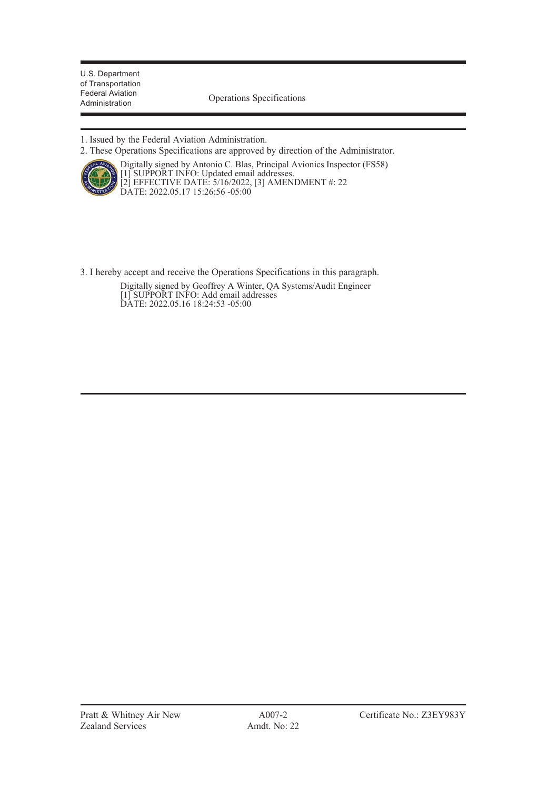Federal Aviation<br>Administration **Operations** Specifications

1. Issued by the Federal Aviation Administration.

2. These Operations Specifications are approved by direction of the Administrator.



Digitally signed by Antonio C. Blas, Principal Avionics Inspector (FS58) [1] SUPPORT INFO: Updated email addresses. [2] EFFECTIVE DATE: 5/16/2022, [3] AMENDMENT #: 22 DATE: 2022.05.17 15:26:56 -05:00

3. I hereby accept and receive the Operations Specifications in this paragraph.

Digitally signed by Geoffrey A Winter, QA Systems/Audit Engineer [1] SUPPORT INFO: Add email addresses DATE: 2022.05.16 18:24:53 -05:00